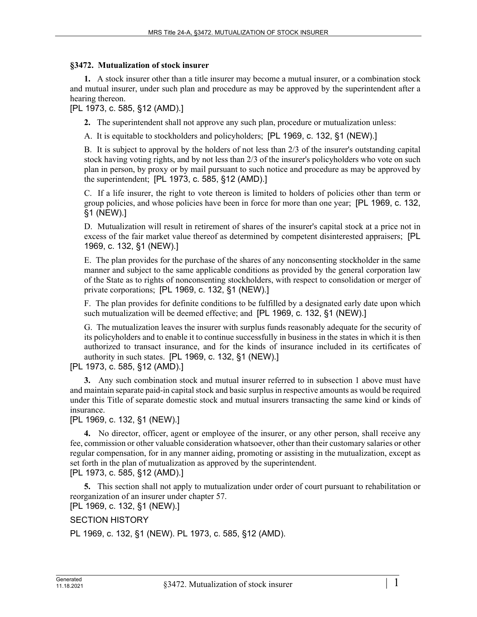## **§3472. Mutualization of stock insurer**

**1.** A stock insurer other than a title insurer may become a mutual insurer, or a combination stock and mutual insurer, under such plan and procedure as may be approved by the superintendent after a hearing thereon.

[PL 1973, c. 585, §12 (AMD).]

**2.** The superintendent shall not approve any such plan, procedure or mutualization unless:

A. It is equitable to stockholders and policyholders; [PL 1969, c. 132, §1 (NEW).]

B. It is subject to approval by the holders of not less than 2/3 of the insurer's outstanding capital stock having voting rights, and by not less than 2/3 of the insurer's policyholders who vote on such plan in person, by proxy or by mail pursuant to such notice and procedure as may be approved by the superintendent; [PL 1973, c. 585, §12 (AMD).]

C. If a life insurer, the right to vote thereon is limited to holders of policies other than term or group policies, and whose policies have been in force for more than one year; [PL 1969, c. 132, §1 (NEW).]

D. Mutualization will result in retirement of shares of the insurer's capital stock at a price not in excess of the fair market value thereof as determined by competent disinterested appraisers; [PL 1969, c. 132, §1 (NEW).]

E. The plan provides for the purchase of the shares of any nonconsenting stockholder in the same manner and subject to the same applicable conditions as provided by the general corporation law of the State as to rights of nonconsenting stockholders, with respect to consolidation or merger of private corporations; [PL 1969, c. 132, §1 (NEW).]

F. The plan provides for definite conditions to be fulfilled by a designated early date upon which such mutualization will be deemed effective; and [PL 1969, c. 132, §1 (NEW).]

G. The mutualization leaves the insurer with surplus funds reasonably adequate for the security of its policyholders and to enable it to continue successfully in business in the states in which it is then authorized to transact insurance, and for the kinds of insurance included in its certificates of authority in such states. [PL 1969, c. 132, §1 (NEW).]

[PL 1973, c. 585, §12 (AMD).]

**3.** Any such combination stock and mutual insurer referred to in subsection 1 above must have and maintain separate paid-in capital stock and basic surplus in respective amounts as would be required under this Title of separate domestic stock and mutual insurers transacting the same kind or kinds of insurance.

[PL 1969, c. 132, §1 (NEW).]

**4.** No director, officer, agent or employee of the insurer, or any other person, shall receive any fee, commission or other valuable consideration whatsoever, other than their customary salaries or other regular compensation, for in any manner aiding, promoting or assisting in the mutualization, except as set forth in the plan of mutualization as approved by the superintendent.

[PL 1973, c. 585, §12 (AMD).]

**5.** This section shall not apply to mutualization under order of court pursuant to rehabilitation or reorganization of an insurer under chapter 57.

[PL 1969, c. 132, §1 (NEW).]

## SECTION HISTORY

PL 1969, c. 132, §1 (NEW). PL 1973, c. 585, §12 (AMD).